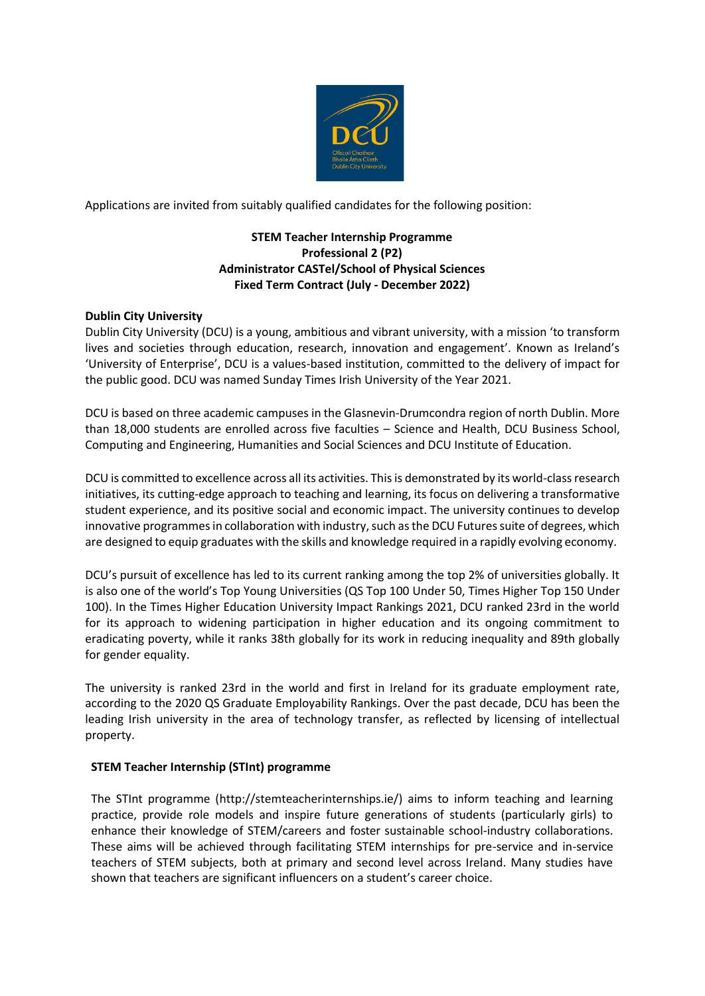

Applications are invited from suitably qualified candidates for the following position:

# **STEM Teacher Internship Programme Professional 2 (P2) Administrator CASTel/School of Physical Sciences Fixed Term Contract (July - December 2022)**

## **Dublin City University**

Dublin City University (DCU) is a young, ambitious and vibrant university, with a mission 'to transform lives and societies through education, research, innovation and engagement'. Known as Ireland's 'University of Enterprise', DCU is a values-based institution, committed to the delivery of impact for the public good. DCU was named Sunday Times Irish University of the Year 2021.

DCU is based on three academic campuses in the Glasnevin-Drumcondra region of north Dublin. More than 18,000 students are enrolled across five faculties – Science and Health, DCU Business School, Computing and Engineering, Humanities and Social Sciences and DCU Institute of Education.

DCU is committed to excellence across all its activities. This is demonstrated by its world-class research initiatives, its cutting-edge approach to teaching and learning, its focus on delivering a transformative student experience, and its positive social and economic impact. The university continues to develop innovative programmes in collaboration with industry, such as the DCU Futures suite of degrees, which are designed to equip graduates with the skills and knowledge required in a rapidly evolving economy.

DCU's pursuit of excellence has led to its current ranking among the top 2% of universities globally. It is also one of the world's Top Young Universities (QS Top 100 Under 50, Times Higher Top 150 Under 100). In the Times Higher Education University Impact Rankings 2021, DCU ranked 23rd in the world for its approach to widening participation in higher education and its ongoing commitment to eradicating poverty, while it ranks 38th globally for its work in reducing inequality and 89th globally for gender equality.

The university is ranked 23rd in the world and first in Ireland for its graduate employment rate, according to the 2020 QS Graduate Employability Rankings. Over the past decade, DCU has been the leading Irish university in the area of technology transfer, as reflected by licensing of intellectual property.

#### **STEM Teacher Internship (STInt) programme**

The STInt programme [\(http://stemteacherinternships.ie/\) a](http://stemteacherinternships.ie/))ims to inform teaching and learning practice, provide role models and inspire future generations of students (particularly girls) to enhance their knowledge of STEM/careers and foster sustainable school-industry collaborations. These aims will be achieved through facilitating STEM internships for pre-service and in-service teachers of STEM subjects, both at primary and second level across Ireland. Many studies have shown that teachers are significant influencers on a student's career choice.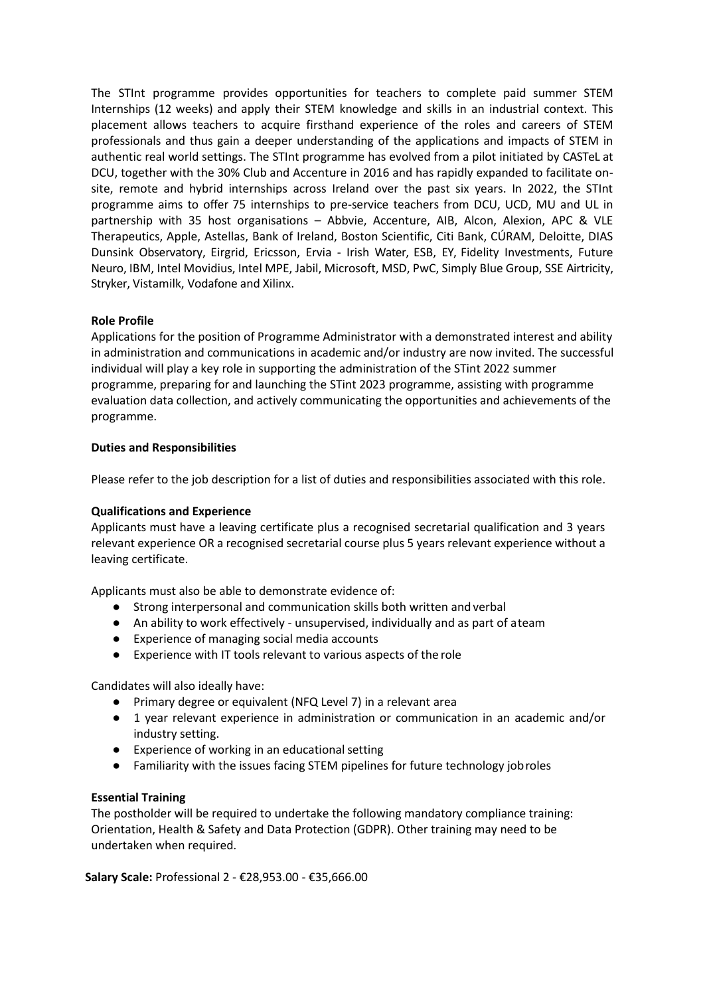The STInt programme provides opportunities for teachers to complete paid summer STEM Internships (12 weeks) and apply their STEM knowledge and skills in an industrial context. This placement allows teachers to acquire firsthand experience of the roles and careers of STEM professionals and thus gain a deeper understanding of the applications and impacts of STEM in authentic real world settings. The STInt programme has evolved from a pilot initiated by CASTeL at DCU, together with the 30% Club and Accenture in 2016 and has rapidly expanded to facilitate onsite, remote and hybrid internships across Ireland over the past six years. In 2022, the STInt programme aims to offer 75 internships to pre-service teachers from DCU, UCD, MU and UL in partnership with 35 host organisations – Abbvie, Accenture, AIB, Alcon, Alexion, APC & VLE Therapeutics, Apple, Astellas, Bank of Ireland, Boston Scientific, Citi Bank, CÚRAM, Deloitte, DIAS Dunsink Observatory, Eirgrid, Ericsson, Ervia - Irish Water, ESB, EY, Fidelity Investments, Future Neuro, IBM, Intel Movidius, Intel MPE, Jabil, Microsoft, MSD, PwC, Simply Blue Group, SSE Airtricity, Stryker, Vistamilk, Vodafone and Xilinx.

#### **Role Profile**

Applications for the position of Programme Administrator with a demonstrated interest and ability in administration and communications in academic and/or industry are now invited. The successful individual will play a key role in supporting the administration of the STint 2022 summer programme, preparing for and launching the STint 2023 programme, assisting with programme evaluation data collection, and actively communicating the opportunities and achievements of the programme.

#### **Duties and Responsibilities**

Please refer to the job description for a list of duties and responsibilities associated with this role.

#### **Qualifications and Experience**

Applicants must have a leaving certificate plus a recognised secretarial qualification and 3 years relevant experience OR a recognised secretarial course plus 5 years relevant experience without a leaving certificate.

Applicants must also be able to demonstrate evidence of:

- Strong interpersonal and communication skills both written and verbal
- An ability to work effectively unsupervised, individually and as part of ateam
- Experience of managing social media accounts
- Experience with IT tools relevant to various aspects of the role

Candidates will also ideally have:

- Primary degree or equivalent (NFQ Level 7) in a relevant area
- 1 year relevant experience in administration or communication in an academic and/or industry setting.
- Experience of working in an educational setting
- Familiarity with the issues facing STEM pipelines for future technology jobroles

#### **Essential Training**

The postholder will be required to undertake the following mandatory compliance training: Orientation, Health & Safety and Data Protection (GDPR). Other training may need to be undertaken when required.

**Salary Scale:** Professional 2 - €28,953.00 - €35,666.00